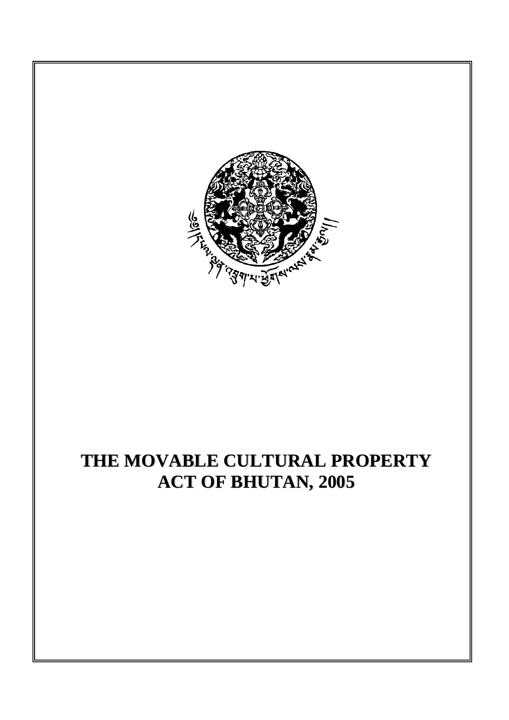

# **THE MOVABLE CULTURAL PROPERTY ACT OF BHUTAN, 2005**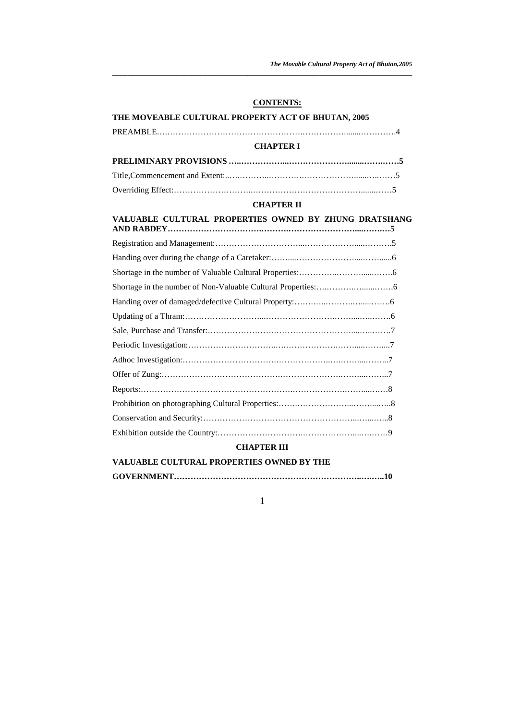*The Movable Cultural Property Act of Bhutan,2005* 

## **CONTENTS:**

#### **THE MOVEABLE CULTURAL PROPERTY ACT OF BHUTAN, 2005**

# PREAMBLE….………………………………………….……………........………….4 **CHAPTER I PRELIMINARY PROVISIONS …..……………...…………………........…….……5**  Title,Commencement and Extent:..….………..………….………………......…..……5

*\_\_\_\_\_\_\_\_\_\_\_\_\_\_\_\_\_\_\_\_\_\_\_\_\_\_\_\_\_\_\_\_\_\_\_\_\_\_\_\_\_\_\_\_\_\_\_\_\_\_\_\_\_\_\_\_\_\_\_\_\_\_\_\_\_\_\_\_\_\_\_\_\_\_\_\_\_\_\_\_*

# **CHAPTER II**

# **VALUABLE CULTURAL PROPERTIES OWNED BY ZHUNG DRATSHANG AND RABDEY…………………………….……….……………………....…….…5**

## **CHAPTER III**

| VALUABLE CULTURAL PROPERTIES OWNED BY THE |
|-------------------------------------------|
|                                           |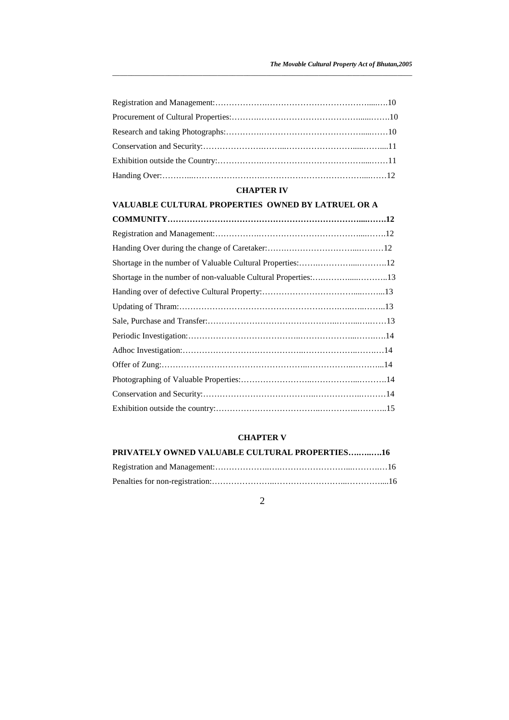*\_\_\_\_\_\_\_\_\_\_\_\_\_\_\_\_\_\_\_\_\_\_\_\_\_\_\_\_\_\_\_\_\_\_\_\_\_\_\_\_\_\_\_\_\_\_\_\_\_\_\_\_\_\_\_\_\_\_\_\_\_\_\_\_\_\_\_\_\_\_\_\_\_\_\_\_\_\_\_\_*

# **CHAPTER IV**

# **VALUABLE CULTURAL PROPERTIES OWNED BY LATRUEL OR A**

| Shortage in the number of non-valuable Cultural Properties:13 |  |
|---------------------------------------------------------------|--|
|                                                               |  |
|                                                               |  |
|                                                               |  |
|                                                               |  |
|                                                               |  |
|                                                               |  |
|                                                               |  |
|                                                               |  |
|                                                               |  |

# **CHAPTER V**

| PRIVATELY OWNED VALUABLE CULTURAL PROPERTIES16 |  |
|------------------------------------------------|--|
|                                                |  |
|                                                |  |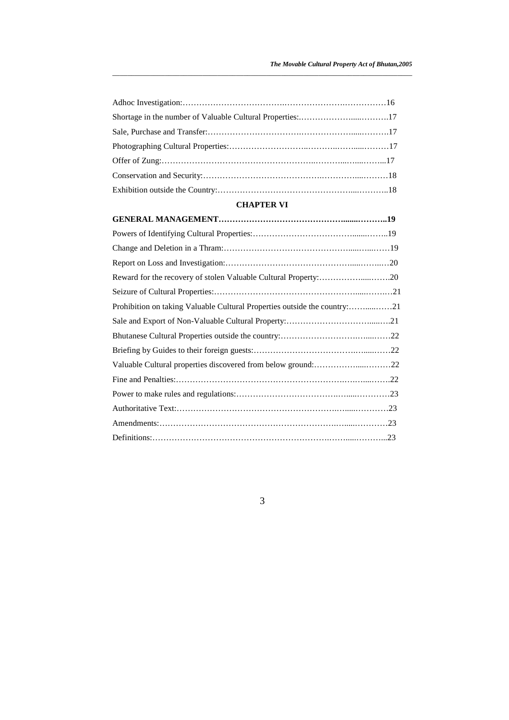*\_\_\_\_\_\_\_\_\_\_\_\_\_\_\_\_\_\_\_\_\_\_\_\_\_\_\_\_\_\_\_\_\_\_\_\_\_\_\_\_\_\_\_\_\_\_\_\_\_\_\_\_\_\_\_\_\_\_\_\_\_\_\_\_\_\_\_\_\_\_\_\_\_\_\_\_\_\_\_\_*

# **CHAPTER VI**

| Prohibition on taking Valuable Cultural Properties outside the country:21 |  |
|---------------------------------------------------------------------------|--|
|                                                                           |  |
|                                                                           |  |
|                                                                           |  |
|                                                                           |  |
|                                                                           |  |
|                                                                           |  |
|                                                                           |  |
|                                                                           |  |
|                                                                           |  |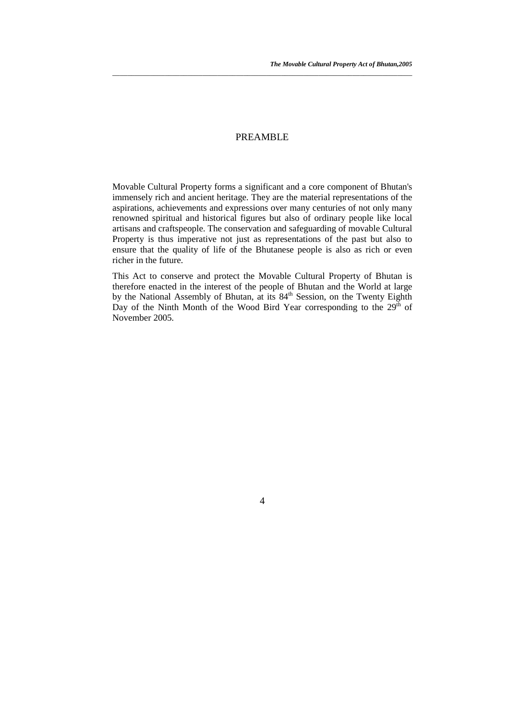# PREAMBLE

*\_\_\_\_\_\_\_\_\_\_\_\_\_\_\_\_\_\_\_\_\_\_\_\_\_\_\_\_\_\_\_\_\_\_\_\_\_\_\_\_\_\_\_\_\_\_\_\_\_\_\_\_\_\_\_\_\_\_\_\_\_\_\_\_\_\_\_\_\_\_\_\_\_\_\_\_\_\_\_\_*

Movable Cultural Property forms a significant and a core component of Bhutan's immensely rich and ancient heritage. They are the material representations of the aspirations, achievements and expressions over many centuries of not only many renowned spiritual and historical figures but also of ordinary people like local artisans and craftspeople. The conservation and safeguarding of movable Cultural Property is thus imperative not just as representations of the past but also to ensure that the quality of life of the Bhutanese people is also as rich or even richer in the future.

This Act to conserve and protect the Movable Cultural Property of Bhutan is therefore enacted in the interest of the people of Bhutan and the World at large by the National Assembly of Bhutan, at its 84<sup>th</sup> Session, on the Twenty Eighth Day of the Ninth Month of the Wood Bird Year corresponding to the  $29<sup>th</sup>$  of November 2005.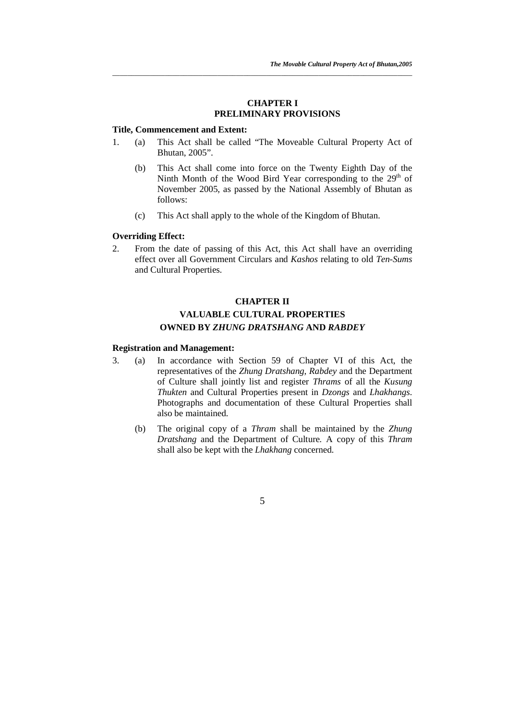## **CHAPTER I PRELIMINARY PROVISIONS**

#### **Title, Commencement and Extent:**

1. (a) This Act shall be called "The Moveable Cultural Property Act of Bhutan, 2005".

*\_\_\_\_\_\_\_\_\_\_\_\_\_\_\_\_\_\_\_\_\_\_\_\_\_\_\_\_\_\_\_\_\_\_\_\_\_\_\_\_\_\_\_\_\_\_\_\_\_\_\_\_\_\_\_\_\_\_\_\_\_\_\_\_\_\_\_\_\_\_\_\_\_\_\_\_\_\_\_\_*

- (b) This Act shall come into force on the Twenty Eighth Day of the Ninth Month of the Wood Bird Year corresponding to the 29<sup>th</sup> of November 2005, as passed by the National Assembly of Bhutan as follows:
- (c) This Act shall apply to the whole of the Kingdom of Bhutan.

# **Overriding Effect:**

2. From the date of passing of this Act, this Act shall have an overriding effect over all Government Circulars and *Kashos* relating to old *Ten-Sums* and Cultural Properties.

# **CHAPTER II VALUABLE CULTURAL PROPERTIES OWNED BY** *ZHUNG DRATSHANG* **AND** *RABDEY*

#### **Registration and Management:**

- 3. (a) In accordance with Section 59 of Chapter VI of this Act, the representatives of the *Zhung Dratshang*, *Rabdey* and the Department of Culture shall jointly list and register *Thrams* of all the *Kusung Thukten* and Cultural Properties present in *Dzongs* and *Lhakhangs*. Photographs and documentation of these Cultural Properties shall also be maintained.
	- (b) The original copy of a *Thram* shall be maintained by the *Zhung Dratshang* and the Department of Culture*.* A copy of this *Thram* shall also be kept with the *Lhakhang* concerned.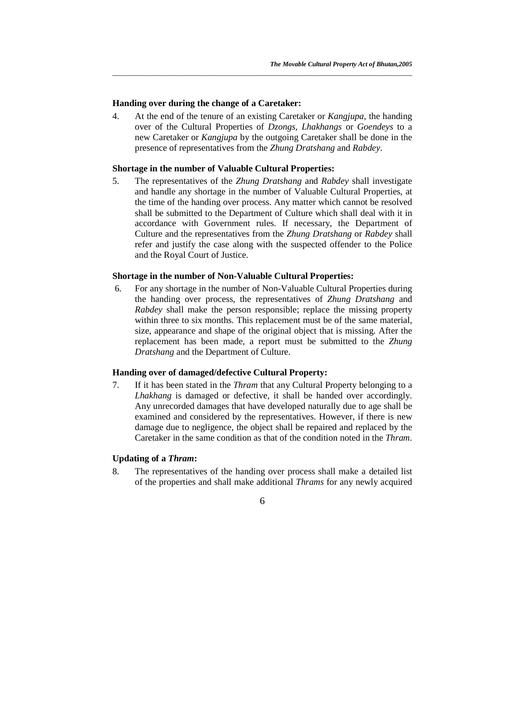#### **Handing over during the change of a Caretaker:**

4. At the end of the tenure of an existing Caretaker or *Kangjupa*, the handing over of the Cultural Properties of *Dzongs, Lhakhangs* or *Goendeys* to a new Caretaker or *Kangjupa* by the outgoing Caretaker shall be done in the presence of representatives from the *Zhung Dratshang* and *Rabdey*.

*\_\_\_\_\_\_\_\_\_\_\_\_\_\_\_\_\_\_\_\_\_\_\_\_\_\_\_\_\_\_\_\_\_\_\_\_\_\_\_\_\_\_\_\_\_\_\_\_\_\_\_\_\_\_\_\_\_\_\_\_\_\_\_\_\_\_\_\_\_\_\_\_\_\_\_\_\_\_\_\_*

#### **Shortage in the number of Valuable Cultural Properties:**

5. The representatives of the *Zhung Dratshang* and *Rabdey* shall investigate and handle any shortage in the number of Valuable Cultural Properties, at the time of the handing over process. Any matter which cannot be resolved shall be submitted to the Department of Culture which shall deal with it in accordance with Government rules. If necessary, the Department of Culture and the representatives from the *Zhung Dratshang* or *Rabdey* shall refer and justify the case along with the suspected offender to the Police and the Royal Court of Justice.

#### **Shortage in the number of Non-Valuable Cultural Properties:**

 6. For any shortage in the number of Non-Valuable Cultural Properties during the handing over process, the representatives of *Zhung Dratshang* and *Rabdey* shall make the person responsible; replace the missing property within three to six months. This replacement must be of the same material, size, appearance and shape of the original object that is missing. After the replacement has been made, a report must be submitted to the *Zhung Dratshang* and the Department of Culture.

# **Handing over of damaged/defective Cultural Property:**

7. If it has been stated in the *Thram* that any Cultural Property belonging to a *Lhakhang* is damaged or defective, it shall be handed over accordingly. Any unrecorded damages that have developed naturally due to age shall be examined and considered by the representatives. However, if there is new damage due to negligence, the object shall be repaired and replaced by the Caretaker in the same condition as that of the condition noted in the *Thram*.

#### **Updating of a** *Thram***:**

8. The representatives of the handing over process shall make a detailed list of the properties and shall make additional *Thrams* for any newly acquired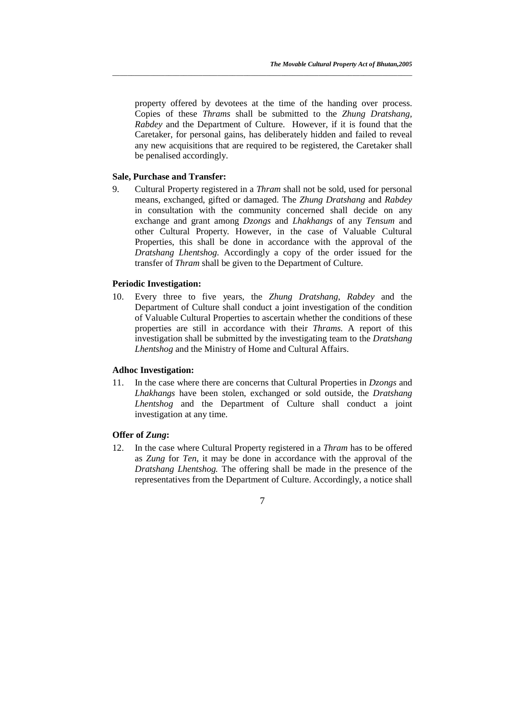property offered by devotees at the time of the handing over process. Copies of these *Thrams* shall be submitted to the *Zhung Dratshang, Rabdey* and the Department of Culture. However, if it is found that the Caretaker, for personal gains, has deliberately hidden and failed to reveal any new acquisitions that are required to be registered, the Caretaker shall be penalised accordingly.

*\_\_\_\_\_\_\_\_\_\_\_\_\_\_\_\_\_\_\_\_\_\_\_\_\_\_\_\_\_\_\_\_\_\_\_\_\_\_\_\_\_\_\_\_\_\_\_\_\_\_\_\_\_\_\_\_\_\_\_\_\_\_\_\_\_\_\_\_\_\_\_\_\_\_\_\_\_\_\_\_*

#### **Sale, Purchase and Transfer:**

9. Cultural Property registered in a *Thram* shall not be sold, used for personal means, exchanged, gifted or damaged. The *Zhung Dratshang* and *Rabdey* in consultation with the community concerned shall decide on any exchange and grant among *Dzongs* and *Lhakhangs* of any *Tensum* and other Cultural Property*.* However, in the case of Valuable Cultural Properties, this shall be done in accordance with the approval of the *Dratshang Lhentshog*. Accordingly a copy of the order issued for the transfer of *Thram* shall be given to the Department of Culture.

# **Periodic Investigation:**

10. Every three to five years, the *Zhung Dratshang*, *Rabdey* and the Department of Culture shall conduct a joint investigation of the condition of Valuable Cultural Properties to ascertain whether the conditions of these properties are still in accordance with their *Thrams.* A report of this investigation shall be submitted by the investigating team to the *Dratshang Lhentshog* and the Ministry of Home and Cultural Affairs.

#### **Adhoc Investigation:**

11. In the case where there are concerns that Cultural Properties in *Dzongs* and *Lhakhangs* have been stolen, exchanged or sold outside, the *Dratshang Lhentshog* and the Department of Culture shall conduct a joint investigation at any time.

#### **Offer of** *Zung***:**

12. In the case where Cultural Property registered in a *Thram* has to be offered as *Zung* for *Ten*, it may be done in accordance with the approval of the *Dratshang Lhentshog.* The offering shall be made in the presence of the representatives from the Department of Culture. Accordingly, a notice shall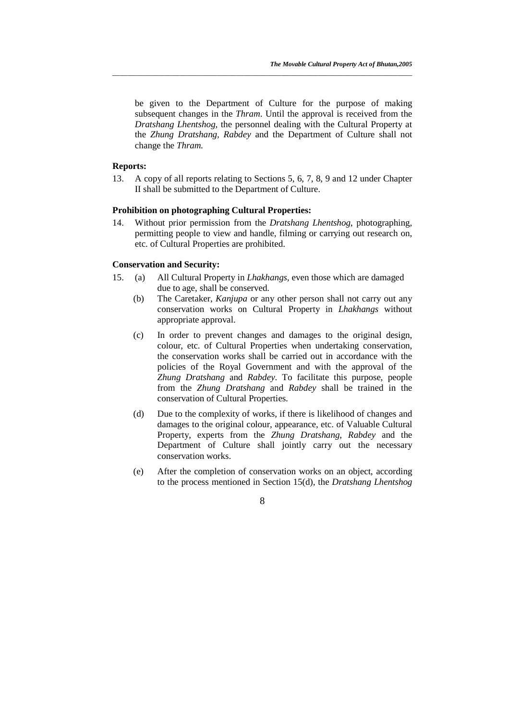be given to the Department of Culture for the purpose of making subsequent changes in the *Thram*. Until the approval is received from the *Dratshang Lhentshog*, the personnel dealing with the Cultural Property at the *Zhung Dratshang, Rabdey* and the Department of Culture shall not change the *Thram.* 

*\_\_\_\_\_\_\_\_\_\_\_\_\_\_\_\_\_\_\_\_\_\_\_\_\_\_\_\_\_\_\_\_\_\_\_\_\_\_\_\_\_\_\_\_\_\_\_\_\_\_\_\_\_\_\_\_\_\_\_\_\_\_\_\_\_\_\_\_\_\_\_\_\_\_\_\_\_\_\_\_*

# **Reports:**

13. A copy of all reports relating to Sections 5, 6, 7, 8, 9 and 12 under Chapter II shall be submitted to the Department of Culture.

# **Prohibition on photographing Cultural Properties:**

14. Without prior permission from the *Dratshang Lhentshog*, photographing, permitting people to view and handle, filming or carrying out research on, etc. of Cultural Properties are prohibited.

#### **Conservation and Security:**

- 15. (a) All Cultural Property in *Lhakhangs*, even those which are damaged due to age, shall be conserved.
	- (b) The Caretaker, *Kanjupa* or any other person shall not carry out any conservation works on Cultural Property in *Lhakhangs* without appropriate approval.
	- (c) In order to prevent changes and damages to the original design, colour, etc. of Cultural Properties when undertaking conservation, the conservation works shall be carried out in accordance with the policies of the Royal Government and with the approval of the *Zhung Dratshang* and *Rabdey*. To facilitate this purpose, people from the *Zhung Dratshang* and *Rabdey* shall be trained in the conservation of Cultural Properties.
	- (d) Due to the complexity of works, if there is likelihood of changes and damages to the original colour, appearance, etc. of Valuable Cultural Property, experts from the *Zhung Dratshang*, *Rabdey* and the Department of Culture shall jointly carry out the necessary conservation works.
	- (e) After the completion of conservation works on an object, according to the process mentioned in Section 15(d), the *Dratshang Lhentshog*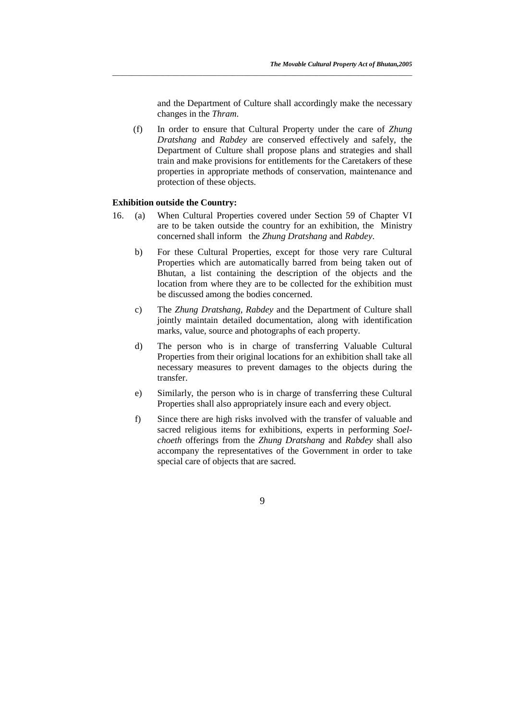and the Department of Culture shall accordingly make the necessary changes in the *Thram*.

(f) In order to ensure that Cultural Property under the care of *Zhung Dratshang* and *Rabdey* are conserved effectively and safely, the Department of Culture shall propose plans and strategies and shall train and make provisions for entitlements for the Caretakers of these properties in appropriate methods of conservation, maintenance and protection of these objects.

*\_\_\_\_\_\_\_\_\_\_\_\_\_\_\_\_\_\_\_\_\_\_\_\_\_\_\_\_\_\_\_\_\_\_\_\_\_\_\_\_\_\_\_\_\_\_\_\_\_\_\_\_\_\_\_\_\_\_\_\_\_\_\_\_\_\_\_\_\_\_\_\_\_\_\_\_\_\_\_\_*

#### **Exhibition outside the Country:**

- 16. (a) When Cultural Properties covered under Section 59 of Chapter VI are to be taken outside the country for an exhibition, the Ministry concerned shall inform the *Zhung Dratshang* and *Rabdey*.
	- b) For these Cultural Properties, except for those very rare Cultural Properties which are automatically barred from being taken out of Bhutan, a list containing the description of the objects and the location from where they are to be collected for the exhibition must be discussed among the bodies concerned.
	- c) The *Zhung Dratshang, Rabdey* and the Department of Culture shall jointly maintain detailed documentation, along with identification marks, value, source and photographs of each property.
	- d) The person who is in charge of transferring Valuable Cultural Properties from their original locations for an exhibition shall take all necessary measures to prevent damages to the objects during the transfer.
	- e) Similarly, the person who is in charge of transferring these Cultural Properties shall also appropriately insure each and every object.
	- f) Since there are high risks involved with the transfer of valuable and sacred religious items for exhibitions, experts in performing *Soelchoeth* offerings from the *Zhung Dratshang* and *Rabdey* shall also accompany the representatives of the Government in order to take special care of objects that are sacred.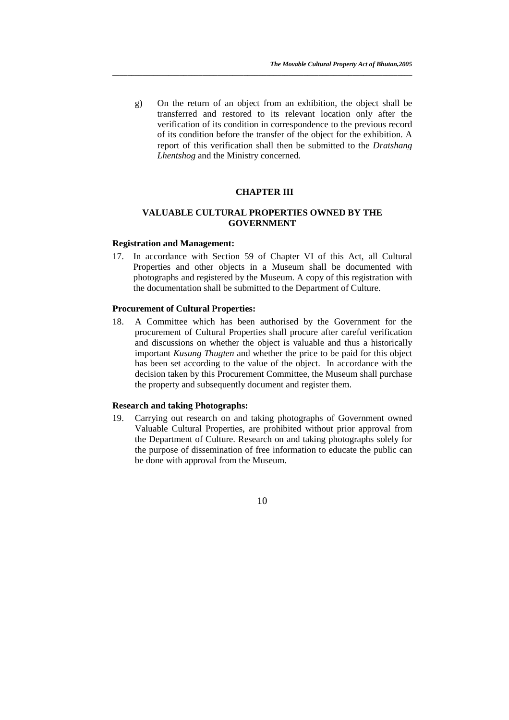g) On the return of an object from an exhibition, the object shall be transferred and restored to its relevant location only after the verification of its condition in correspondence to the previous record of its condition before the transfer of the object for the exhibition. A report of this verification shall then be submitted to the *Dratshang Lhentshog* and the Ministry concerned.

*\_\_\_\_\_\_\_\_\_\_\_\_\_\_\_\_\_\_\_\_\_\_\_\_\_\_\_\_\_\_\_\_\_\_\_\_\_\_\_\_\_\_\_\_\_\_\_\_\_\_\_\_\_\_\_\_\_\_\_\_\_\_\_\_\_\_\_\_\_\_\_\_\_\_\_\_\_\_\_\_*

#### **CHAPTER III**

# **VALUABLE CULTURAL PROPERTIES OWNED BY THE GOVERNMENT**

#### **Registration and Management:**

17. In accordance with Section 59 of Chapter VI of this Act, all Cultural Properties and other objects in a Museum shall be documented with photographs and registered by the Museum. A copy of this registration with the documentation shall be submitted to the Department of Culture.

#### **Procurement of Cultural Properties:**

18. A Committee which has been authorised by the Government for the procurement of Cultural Properties shall procure after careful verification and discussions on whether the object is valuable and thus a historically important *Kusung Thugten* and whether the price to be paid for this object has been set according to the value of the object. In accordance with the decision taken by this Procurement Committee, the Museum shall purchase the property and subsequently document and register them.

#### **Research and taking Photographs:**

19. Carrying out research on and taking photographs of Government owned Valuable Cultural Properties, are prohibited without prior approval from the Department of Culture. Research on and taking photographs solely for the purpose of dissemination of free information to educate the public can be done with approval from the Museum.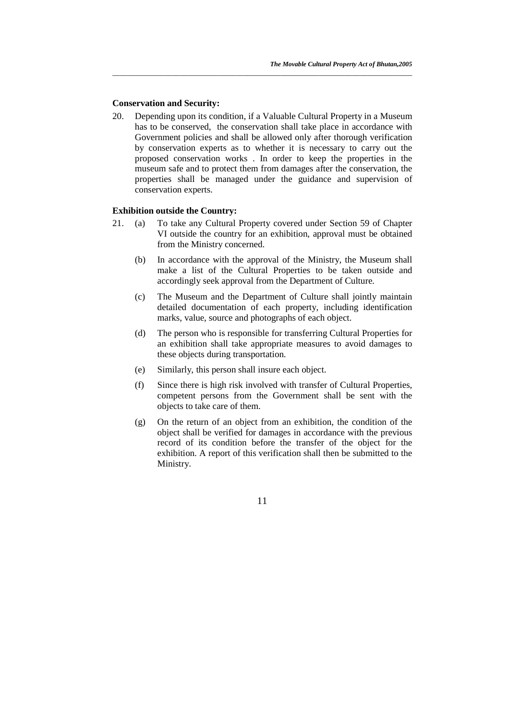#### **Conservation and Security:**

20. Depending upon its condition, if a Valuable Cultural Property in a Museum has to be conserved, the conservation shall take place in accordance with Government policies and shall be allowed only after thorough verification by conservation experts as to whether it is necessary to carry out the proposed conservation works . In order to keep the properties in the museum safe and to protect them from damages after the conservation, the properties shall be managed under the guidance and supervision of conservation experts.

*\_\_\_\_\_\_\_\_\_\_\_\_\_\_\_\_\_\_\_\_\_\_\_\_\_\_\_\_\_\_\_\_\_\_\_\_\_\_\_\_\_\_\_\_\_\_\_\_\_\_\_\_\_\_\_\_\_\_\_\_\_\_\_\_\_\_\_\_\_\_\_\_\_\_\_\_\_\_\_\_*

#### **Exhibition outside the Country:**

- 21. (a) To take any Cultural Property covered under Section 59 of Chapter VI outside the country for an exhibition, approval must be obtained from the Ministry concerned.
	- (b) In accordance with the approval of the Ministry, the Museum shall make a list of the Cultural Properties to be taken outside and accordingly seek approval from the Department of Culture.
	- (c) The Museum and the Department of Culture shall jointly maintain detailed documentation of each property, including identification marks, value, source and photographs of each object.
	- (d) The person who is responsible for transferring Cultural Properties for an exhibition shall take appropriate measures to avoid damages to these objects during transportation.
	- (e) Similarly, this person shall insure each object.
	- (f) Since there is high risk involved with transfer of Cultural Properties, competent persons from the Government shall be sent with the objects to take care of them.
	- (g) On the return of an object from an exhibition, the condition of the object shall be verified for damages in accordance with the previous record of its condition before the transfer of the object for the exhibition. A report of this verification shall then be submitted to the Ministry.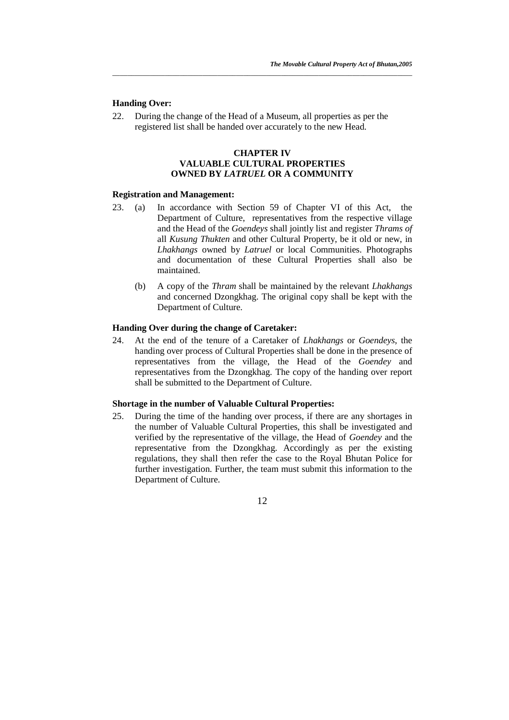#### **Handing Over:**

22. During the change of the Head of a Museum, all properties as per the registered list shall be handed over accurately to the new Head.

# **CHAPTER IV VALUABLE CULTURAL PROPERTIES OWNED BY** *LATRUEL* **OR A COMMUNITY**

*\_\_\_\_\_\_\_\_\_\_\_\_\_\_\_\_\_\_\_\_\_\_\_\_\_\_\_\_\_\_\_\_\_\_\_\_\_\_\_\_\_\_\_\_\_\_\_\_\_\_\_\_\_\_\_\_\_\_\_\_\_\_\_\_\_\_\_\_\_\_\_\_\_\_\_\_\_\_\_\_*

#### **Registration and Management:**

- 23. (a) In accordance with Section 59 of Chapter VI of this Act, the Department of Culture, representatives from the respective village and the Head of the *Goendeys* shall jointly list and register *Thrams of*  all *Kusung Thukten* and other Cultural Property, be it old or new, in *Lhakhangs* owned by *Latruel* or local Communities. Photographs and documentation of these Cultural Properties shall also be maintained.
	- (b) A copy of the *Thram* shall be maintained by the relevant *Lhakhangs* and concerned Dzongkhag. The original copy shall be kept with the Department of Culture.

#### **Handing Over during the change of Caretaker:**

24. At the end of the tenure of a Caretaker of *Lhakhangs* or *Goendeys*, the handing over process of Cultural Properties shall be done in the presence of representatives from the village, the Head of the *Goendey* and representatives from the Dzongkhag. The copy of the handing over report shall be submitted to the Department of Culture.

#### **Shortage in the number of Valuable Cultural Properties:**

25. During the time of the handing over process, if there are any shortages in the number of Valuable Cultural Properties, this shall be investigated and verified by the representative of the village, the Head of *Goendey* and the representative from the Dzongkhag. Accordingly as per the existing regulations, they shall then refer the case to the Royal Bhutan Police for further investigation. Further, the team must submit this information to the Department of Culture.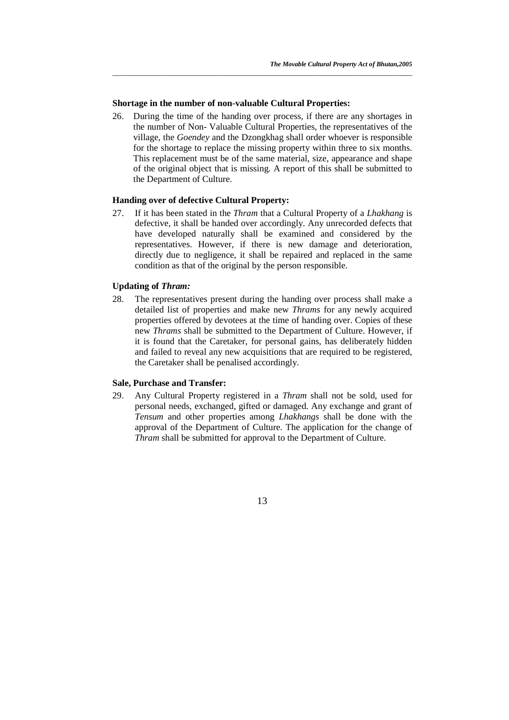#### **Shortage in the number of non-valuable Cultural Properties:**

26. During the time of the handing over process, if there are any shortages in the number of Non- Valuable Cultural Properties, the representatives of the village, the *Goendey* and the Dzongkhag shall order whoever is responsible for the shortage to replace the missing property within three to six months. This replacement must be of the same material, size, appearance and shape of the original object that is missing. A report of this shall be submitted to the Department of Culture.

*\_\_\_\_\_\_\_\_\_\_\_\_\_\_\_\_\_\_\_\_\_\_\_\_\_\_\_\_\_\_\_\_\_\_\_\_\_\_\_\_\_\_\_\_\_\_\_\_\_\_\_\_\_\_\_\_\_\_\_\_\_\_\_\_\_\_\_\_\_\_\_\_\_\_\_\_\_\_\_\_*

#### **Handing over of defective Cultural Property:**

27. If it has been stated in the *Thram* that a Cultural Property of a *Lhakhang* is defective, it shall be handed over accordingly. Any unrecorded defects that have developed naturally shall be examined and considered by the representatives. However, if there is new damage and deterioration, directly due to negligence, it shall be repaired and replaced in the same condition as that of the original by the person responsible.

#### **Updating of** *Thram:*

28. The representatives present during the handing over process shall make a detailed list of properties and make new *Thrams* for any newly acquired properties offered by devotees at the time of handing over. Copies of these new *Thrams* shall be submitted to the Department of Culture. However, if it is found that the Caretaker, for personal gains, has deliberately hidden and failed to reveal any new acquisitions that are required to be registered, the Caretaker shall be penalised accordingly.

#### **Sale, Purchase and Transfer:**

29. Any Cultural Property registered in a *Thram* shall not be sold, used for personal needs, exchanged, gifted or damaged. Any exchange and grant of *Tensum* and other properties among *Lhakhangs* shall be done with the approval of the Department of Culture. The application for the change of *Thram* shall be submitted for approval to the Department of Culture.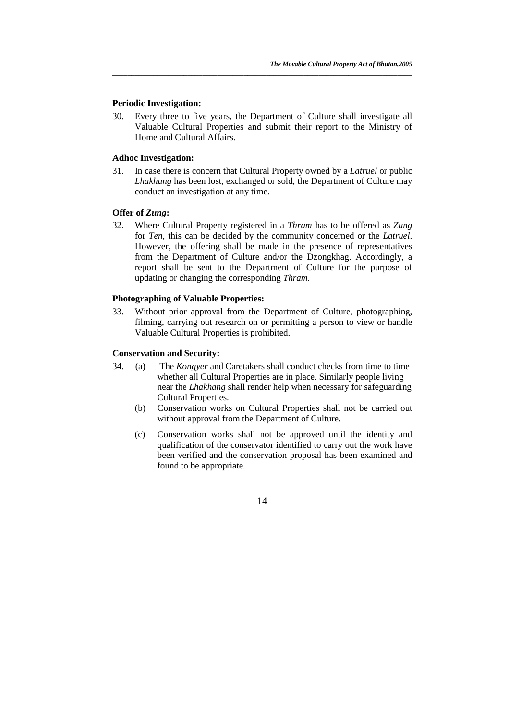#### **Periodic Investigation:**

30. Every three to five years, the Department of Culture shall investigate all Valuable Cultural Properties and submit their report to the Ministry of Home and Cultural Affairs.

*\_\_\_\_\_\_\_\_\_\_\_\_\_\_\_\_\_\_\_\_\_\_\_\_\_\_\_\_\_\_\_\_\_\_\_\_\_\_\_\_\_\_\_\_\_\_\_\_\_\_\_\_\_\_\_\_\_\_\_\_\_\_\_\_\_\_\_\_\_\_\_\_\_\_\_\_\_\_\_\_*

#### **Adhoc Investigation:**

31. In case there is concern that Cultural Property owned by a *Latruel* or public *Lhakhang* has been lost, exchanged or sold, the Department of Culture may conduct an investigation at any time.

# **Offer of** *Zung***:**

32. Where Cultural Property registered in a *Thram* has to be offered as *Zung*  for *Ten*, this can be decided by the community concerned or the *Latruel*. However, the offering shall be made in the presence of representatives from the Department of Culture and/or the Dzongkhag. Accordingly, a report shall be sent to the Department of Culture for the purpose of updating or changing the corresponding *Thram*.

#### **Photographing of Valuable Properties:**

33. Without prior approval from the Department of Culture, photographing, filming, carrying out research on or permitting a person to view or handle Valuable Cultural Properties is prohibited.

## **Conservation and Security:**

- 34.(a) The *Kongyer* and Caretakers shall conduct checks from time to time whether all Cultural Properties are in place. Similarly people living near the *Lhakhang* shall render help when necessary for safeguarding Cultural Properties.
	- (b) Conservation works on Cultural Properties shall not be carried out without approval from the Department of Culture.
	- (c) Conservation works shall not be approved until the identity and qualification of the conservator identified to carry out the work have been verified and the conservation proposal has been examined and found to be appropriate.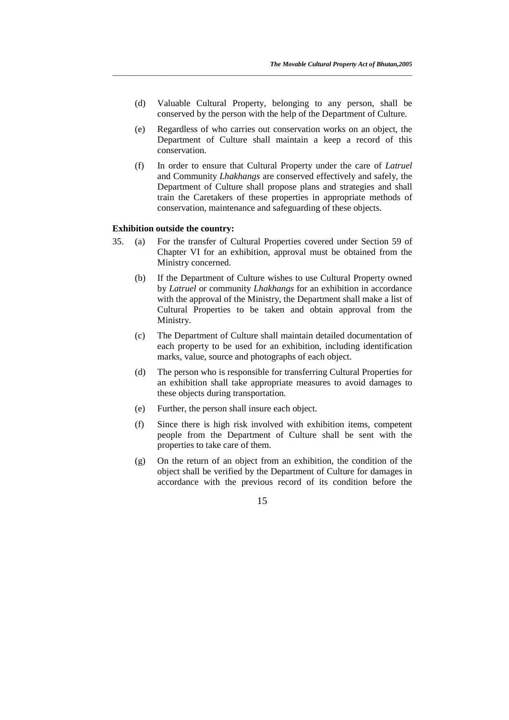(d) Valuable Cultural Property, belonging to any person, shall be conserved by the person with the help of the Department of Culture.

*\_\_\_\_\_\_\_\_\_\_\_\_\_\_\_\_\_\_\_\_\_\_\_\_\_\_\_\_\_\_\_\_\_\_\_\_\_\_\_\_\_\_\_\_\_\_\_\_\_\_\_\_\_\_\_\_\_\_\_\_\_\_\_\_\_\_\_\_\_\_\_\_\_\_\_\_\_\_\_\_*

- (e) Regardless of who carries out conservation works on an object, the Department of Culture shall maintain a keep a record of this conservation.
- (f) In order to ensure that Cultural Property under the care of *Latruel* and Community *Lhakhangs* are conserved effectively and safely, the Department of Culture shall propose plans and strategies and shall train the Caretakers of these properties in appropriate methods of conservation, maintenance and safeguarding of these objects.

#### **Exhibition outside the country:**

- 35. (a) For the transfer of Cultural Properties covered under Section 59 of Chapter VI for an exhibition, approval must be obtained from the Ministry concerned.
	- (b) If the Department of Culture wishes to use Cultural Property owned by *Latruel* or community *Lhakhangs* for an exhibition in accordance with the approval of the Ministry, the Department shall make a list of Cultural Properties to be taken and obtain approval from the Ministry.
	- (c) The Department of Culture shall maintain detailed documentation of each property to be used for an exhibition, including identification marks, value, source and photographs of each object.
	- (d) The person who is responsible for transferring Cultural Properties for an exhibition shall take appropriate measures to avoid damages to these objects during transportation.
	- (e) Further, the person shall insure each object.
	- (f) Since there is high risk involved with exhibition items, competent people from the Department of Culture shall be sent with the properties to take care of them.
	- (g) On the return of an object from an exhibition, the condition of the object shall be verified by the Department of Culture for damages in accordance with the previous record of its condition before the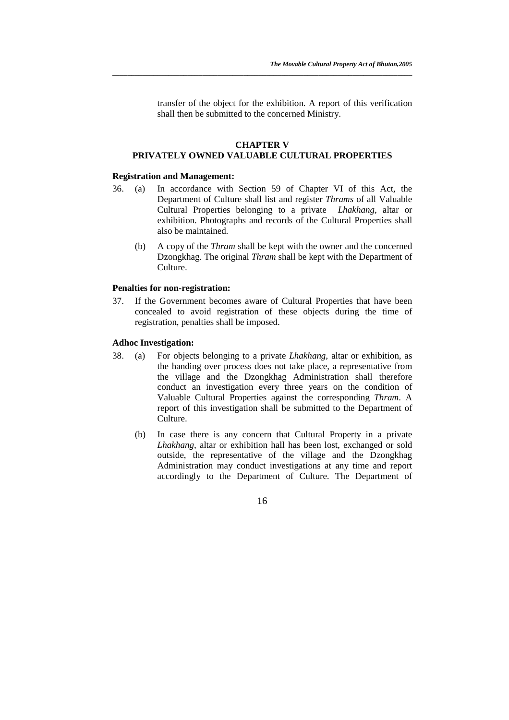transfer of the object for the exhibition. A report of this verification shall then be submitted to the concerned Ministry.

## **CHAPTER V PRIVATELY OWNED VALUABLE CULTURAL PROPERTIES**

*\_\_\_\_\_\_\_\_\_\_\_\_\_\_\_\_\_\_\_\_\_\_\_\_\_\_\_\_\_\_\_\_\_\_\_\_\_\_\_\_\_\_\_\_\_\_\_\_\_\_\_\_\_\_\_\_\_\_\_\_\_\_\_\_\_\_\_\_\_\_\_\_\_\_\_\_\_\_\_\_*

#### **Registration and Management:**

- 36. (a) In accordance with Section 59 of Chapter VI of this Act, the Department of Culture shall list and register *Thrams* of all Valuable Cultural Properties belonging to a private *Lhakhang*, altar or exhibition. Photographs and records of the Cultural Properties shall also be maintained.
	- (b) A copy of the *Thram* shall be kept with the owner and the concerned Dzongkhag. The original *Thram* shall be kept with the Department of Culture.

#### **Penalties for non-registration:**

37. If the Government becomes aware of Cultural Properties that have been concealed to avoid registration of these objects during the time of registration, penalties shall be imposed.

#### **Adhoc Investigation:**

- 38. (a) For objects belonging to a private *Lhakhang*, altar or exhibition, as the handing over process does not take place, a representative from the village and the Dzongkhag Administration shall therefore conduct an investigation every three years on the condition of Valuable Cultural Properties against the corresponding *Thram*. A report of this investigation shall be submitted to the Department of Culture.
	- (b) In case there is any concern that Cultural Property in a private *Lhakhang,* altar or exhibition hall has been lost, exchanged or sold outside, the representative of the village and the Dzongkhag Administration may conduct investigations at any time and report accordingly to the Department of Culture. The Department of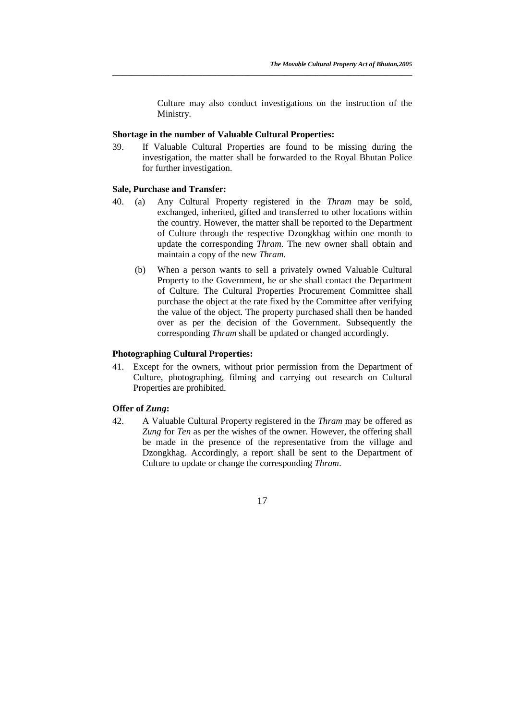Culture may also conduct investigations on the instruction of the Ministry.

#### **Shortage in the number of Valuable Cultural Properties:**

39. If Valuable Cultural Properties are found to be missing during the investigation, the matter shall be forwarded to the Royal Bhutan Police for further investigation.

*\_\_\_\_\_\_\_\_\_\_\_\_\_\_\_\_\_\_\_\_\_\_\_\_\_\_\_\_\_\_\_\_\_\_\_\_\_\_\_\_\_\_\_\_\_\_\_\_\_\_\_\_\_\_\_\_\_\_\_\_\_\_\_\_\_\_\_\_\_\_\_\_\_\_\_\_\_\_\_\_*

#### **Sale, Purchase and Transfer:**

- 40. (a) Any Cultural Property registered in the *Thram* may be sold, exchanged, inherited, gifted and transferred to other locations within the country. However, the matter shall be reported to the Department of Culture through the respective Dzongkhag within one month to update the corresponding *Thram*. The new owner shall obtain and maintain a copy of the new *Thram*.
	- (b) When a person wants to sell a privately owned Valuable Cultural Property to the Government, he or she shall contact the Department of Culture. The Cultural Properties Procurement Committee shall purchase the object at the rate fixed by the Committee after verifying the value of the object. The property purchased shall then be handed over as per the decision of the Government. Subsequently the corresponding *Thram* shall be updated or changed accordingly.

# **Photographing Cultural Properties:**

41. Except for the owners, without prior permission from the Department of Culture, photographing, filming and carrying out research on Cultural Properties are prohibited.

# **Offer of** *Zung***:**

42. A Valuable Cultural Property registered in the *Thram* may be offered as *Zung* for *Ten* as per the wishes of the owner. However, the offering shall be made in the presence of the representative from the village and Dzongkhag. Accordingly, a report shall be sent to the Department of Culture to update or change the corresponding *Thram*.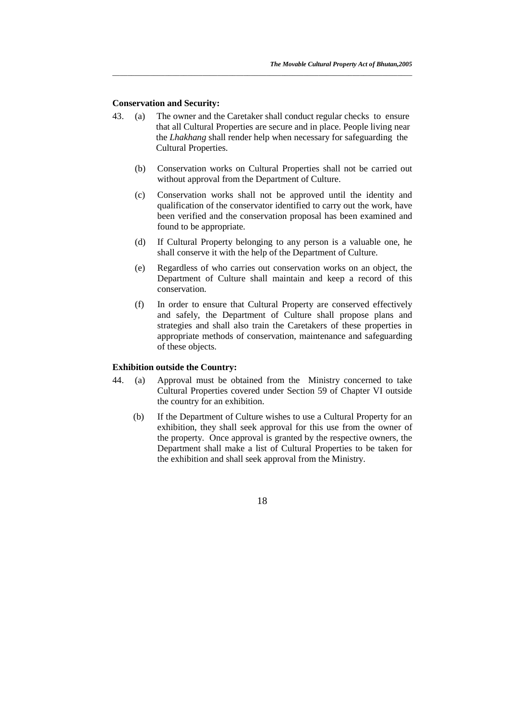#### **Conservation and Security:**

43. (a) The owner and the Caretaker shall conduct regular checks to ensure that all Cultural Properties are secure and in place. People living near the *Lhakhang* shall render help when necessary for safeguarding the Cultural Properties.

*\_\_\_\_\_\_\_\_\_\_\_\_\_\_\_\_\_\_\_\_\_\_\_\_\_\_\_\_\_\_\_\_\_\_\_\_\_\_\_\_\_\_\_\_\_\_\_\_\_\_\_\_\_\_\_\_\_\_\_\_\_\_\_\_\_\_\_\_\_\_\_\_\_\_\_\_\_\_\_\_*

- (b) Conservation works on Cultural Properties shall not be carried out without approval from the Department of Culture.
- (c) Conservation works shall not be approved until the identity and qualification of the conservator identified to carry out the work, have been verified and the conservation proposal has been examined and found to be appropriate.
- (d) If Cultural Property belonging to any person is a valuable one, he shall conserve it with the help of the Department of Culture.
- (e) Regardless of who carries out conservation works on an object, the Department of Culture shall maintain and keep a record of this conservation.
- (f) In order to ensure that Cultural Property are conserved effectively and safely, the Department of Culture shall propose plans and strategies and shall also train the Caretakers of these properties in appropriate methods of conservation, maintenance and safeguarding of these objects.

#### **Exhibition outside the Country:**

- 44. (a) Approval must be obtained from the Ministry concerned to take Cultural Properties covered under Section 59 of Chapter VI outside the country for an exhibition.
	- (b) If the Department of Culture wishes to use a Cultural Property for an exhibition, they shall seek approval for this use from the owner of the property. Once approval is granted by the respective owners, the Department shall make a list of Cultural Properties to be taken for the exhibition and shall seek approval from the Ministry.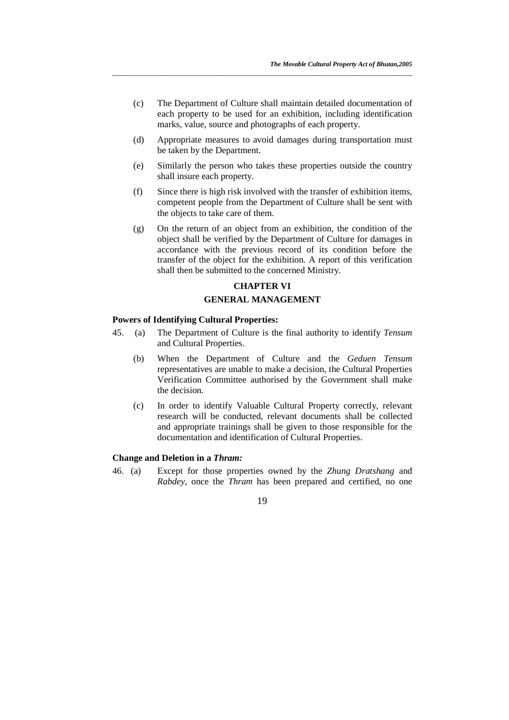(c) The Department of Culture shall maintain detailed documentation of each property to be used for an exhibition, including identification marks, value, source and photographs of each property.

*\_\_\_\_\_\_\_\_\_\_\_\_\_\_\_\_\_\_\_\_\_\_\_\_\_\_\_\_\_\_\_\_\_\_\_\_\_\_\_\_\_\_\_\_\_\_\_\_\_\_\_\_\_\_\_\_\_\_\_\_\_\_\_\_\_\_\_\_\_\_\_\_\_\_\_\_\_\_\_\_*

- (d) Appropriate measures to avoid damages during transportation must be taken by the Department.
- (e) Similarly the person who takes these properties outside the country shall insure each property.
- (f) Since there is high risk involved with the transfer of exhibition items, competent people from the Department of Culture shall be sent with the objects to take care of them.
- (g) On the return of an object from an exhibition, the condition of the object shall be verified by the Department of Culture for damages in accordance with the previous record of its condition before the transfer of the object for the exhibition. A report of this verification shall then be submitted to the concerned Ministry.

# **CHAPTER VI**

# **GENERAL MANAGEMENT**

## **Powers of Identifying Cultural Properties:**

- 45. (a) The Department of Culture is the final authority to identify *Tensum*  and Cultural Properties.
	- (b) When the Department of Culture and the *Geduen Tensum* representatives are unable to make a decision, the Cultural Properties Verification Committee authorised by the Government shall make the decision.
	- (c) In order to identify Valuable Cultural Property correctly, relevant research will be conducted, relevant documents shall be collected and appropriate trainings shall be given to those responsible for the documentation and identification of Cultural Properties.

#### **Change and Deletion in a** *Thram:*

46. (a) Except for those properties owned by the *Zhung Dratshang* and *Rabdey*, once the *Thram* has been prepared and certified, no one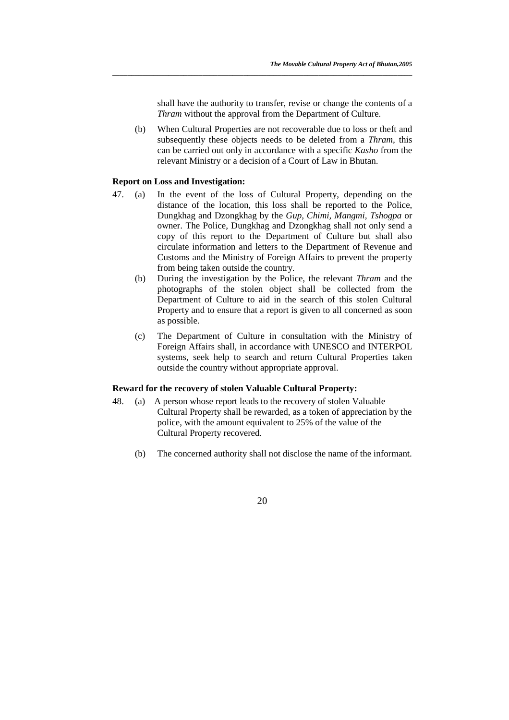shall have the authority to transfer, revise or change the contents of a *Thram* without the approval from the Department of Culture.

(b) When Cultural Properties are not recoverable due to loss or theft and subsequently these objects needs to be deleted from a *Thram,* this can be carried out only in accordance with a specific *Kasho* from the relevant Ministry or a decision of a Court of Law in Bhutan.

*\_\_\_\_\_\_\_\_\_\_\_\_\_\_\_\_\_\_\_\_\_\_\_\_\_\_\_\_\_\_\_\_\_\_\_\_\_\_\_\_\_\_\_\_\_\_\_\_\_\_\_\_\_\_\_\_\_\_\_\_\_\_\_\_\_\_\_\_\_\_\_\_\_\_\_\_\_\_\_\_*

#### **Report on Loss and Investigation:**

- 47. (a) In the event of the loss of Cultural Property, depending on the distance of the location, this loss shall be reported to the Police, Dungkhag and Dzongkhag by the *Gup, Chimi, Mangmi, Tshogpa* or owner. The Police, Dungkhag and Dzongkhag shall not only send a copy of this report to the Department of Culture but shall also circulate information and letters to the Department of Revenue and Customs and the Ministry of Foreign Affairs to prevent the property from being taken outside the country.
	- (b) During the investigation by the Police, the relevant *Thram* and the photographs of the stolen object shall be collected from the Department of Culture to aid in the search of this stolen Cultural Property and to ensure that a report is given to all concerned as soon as possible.
	- (c) The Department of Culture in consultation with the Ministry of Foreign Affairs shall, in accordance with UNESCO and INTERPOL systems, seek help to search and return Cultural Properties taken outside the country without appropriate approval.

#### **Reward for the recovery of stolen Valuable Cultural Property:**

- 48. (a) A person whose report leads to the recovery of stolen Valuable Cultural Property shall be rewarded, as a token of appreciation by the police, with the amount equivalent to 25% of the value of the Cultural Property recovered.
	- (b) The concerned authority shall not disclose the name of the informant.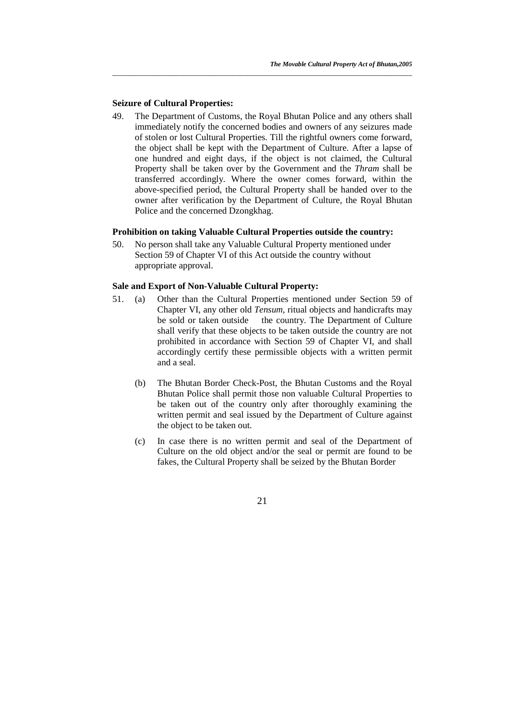# **Seizure of Cultural Properties:**

49. The Department of Customs, the Royal Bhutan Police and any others shall immediately notify the concerned bodies and owners of any seizures made of stolen or lost Cultural Properties. Till the rightful owners come forward, the object shall be kept with the Department of Culture. After a lapse of one hundred and eight days, if the object is not claimed, the Cultural Property shall be taken over by the Government and the *Thram* shall be transferred accordingly. Where the owner comes forward, within the above-specified period, the Cultural Property shall be handed over to the owner after verification by the Department of Culture, the Royal Bhutan Police and the concerned Dzongkhag.

*\_\_\_\_\_\_\_\_\_\_\_\_\_\_\_\_\_\_\_\_\_\_\_\_\_\_\_\_\_\_\_\_\_\_\_\_\_\_\_\_\_\_\_\_\_\_\_\_\_\_\_\_\_\_\_\_\_\_\_\_\_\_\_\_\_\_\_\_\_\_\_\_\_\_\_\_\_\_\_\_*

#### **Prohibition on taking Valuable Cultural Properties outside the country:**

50. No person shall take any Valuable Cultural Property mentioned under Section 59 of Chapter VI of this Act outside the country without appropriate approval.

# **Sale and Export of Non-Valuable Cultural Property:**

- 51. (a) Other than the Cultural Properties mentioned under Section 59 of Chapter VI, any other old *Tensum*, ritual objects and handicrafts may be sold or taken outside the country. The Department of Culture shall verify that these objects to be taken outside the country are not prohibited in accordance with Section 59 of Chapter VI, and shall accordingly certify these permissible objects with a written permit and a seal.
	- (b) The Bhutan Border Check-Post, the Bhutan Customs and the Royal Bhutan Police shall permit those non valuable Cultural Properties to be taken out of the country only after thoroughly examining the written permit and seal issued by the Department of Culture against the object to be taken out.
	- (c) In case there is no written permit and seal of the Department of Culture on the old object and/or the seal or permit are found to be fakes, the Cultural Property shall be seized by the Bhutan Border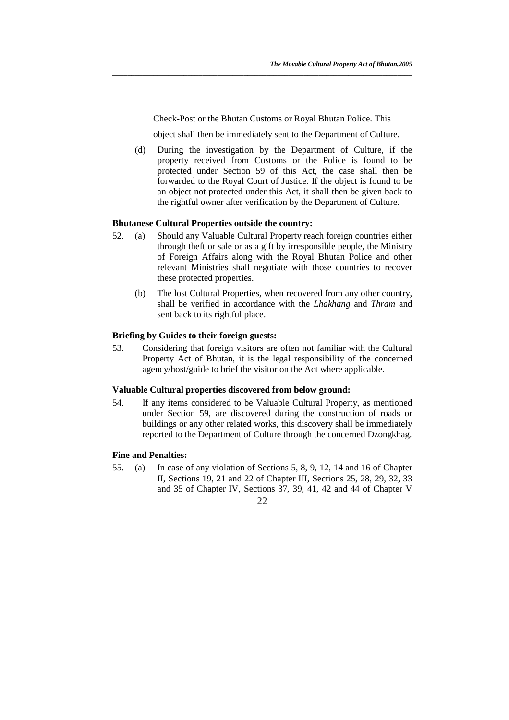Check-Post or the Bhutan Customs or Royal Bhutan Police. This

*\_\_\_\_\_\_\_\_\_\_\_\_\_\_\_\_\_\_\_\_\_\_\_\_\_\_\_\_\_\_\_\_\_\_\_\_\_\_\_\_\_\_\_\_\_\_\_\_\_\_\_\_\_\_\_\_\_\_\_\_\_\_\_\_\_\_\_\_\_\_\_\_\_\_\_\_\_\_\_\_*

object shall then be immediately sent to the Department of Culture.

(d) During the investigation by the Department of Culture, if the property received from Customs or the Police is found to be protected under Section 59 of this Act, the case shall then be forwarded to the Royal Court of Justice. If the object is found to be an object not protected under this Act, it shall then be given back to the rightful owner after verification by the Department of Culture.

#### **Bhutanese Cultural Properties outside the country:**

- 52. (a) Should any Valuable Cultural Property reach foreign countries either through theft or sale or as a gift by irresponsible people, the Ministry of Foreign Affairs along with the Royal Bhutan Police and other relevant Ministries shall negotiate with those countries to recover these protected properties.
	- (b) The lost Cultural Properties, when recovered from any other country, shall be verified in accordance with the *Lhakhang* and *Thram* and sent back to its rightful place.

#### **Briefing by Guides to their foreign guests:**

53. Considering that foreign visitors are often not familiar with the Cultural Property Act of Bhutan, it is the legal responsibility of the concerned agency/host/guide to brief the visitor on the Act where applicable.

## **Valuable Cultural properties discovered from below ground:**

54. If any items considered to be Valuable Cultural Property, as mentioned under Section 59, are discovered during the construction of roads or buildings or any other related works, this discovery shall be immediately reported to the Department of Culture through the concerned Dzongkhag.

#### **Fine and Penalties:**

55. (a) In case of any violation of Sections 5, 8, 9, 12, 14 and 16 of Chapter II, Sections 19, 21 and 22 of Chapter III, Sections 25, 28, 29, 32, 33 and 35 of Chapter IV, Sections 37, 39, 41, 42 and 44 of Chapter V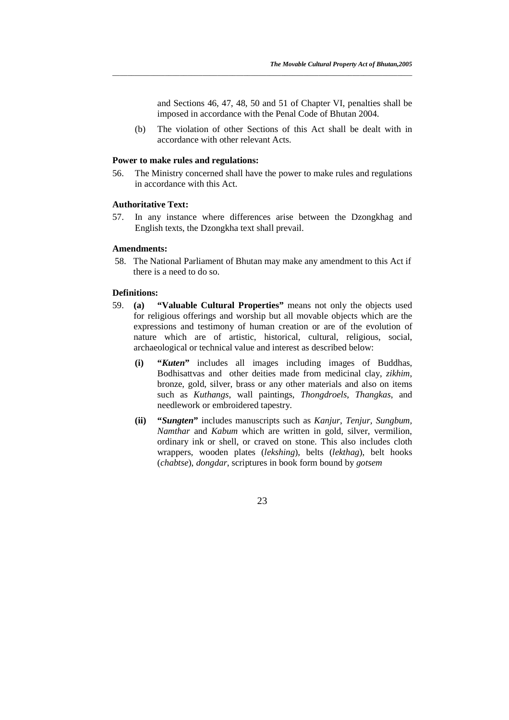and Sections 46, 47, 48, 50 and 51 of Chapter VI, penalties shall be imposed in accordance with the Penal Code of Bhutan 2004.

 (b) The violation of other Sections of this Act shall be dealt with in accordance with other relevant Acts.

#### **Power to make rules and regulations:**

56. The Ministry concerned shall have the power to make rules and regulations in accordance with this Act.

*\_\_\_\_\_\_\_\_\_\_\_\_\_\_\_\_\_\_\_\_\_\_\_\_\_\_\_\_\_\_\_\_\_\_\_\_\_\_\_\_\_\_\_\_\_\_\_\_\_\_\_\_\_\_\_\_\_\_\_\_\_\_\_\_\_\_\_\_\_\_\_\_\_\_\_\_\_\_\_\_*

#### **Authoritative Text:**

57. In any instance where differences arise between the Dzongkhag and English texts, the Dzongkha text shall prevail.

#### **Amendments:**

 58. The National Parliament of Bhutan may make any amendment to this Act if there is a need to do so.

#### **Definitions:**

- 59. **(a) "Valuable Cultural Properties"** means not only the objects used for religious offerings and worship but all movable objects which are the expressions and testimony of human creation or are of the evolution of nature which are of artistic, historical, cultural, religious, social, archaeological or technical value and interest as described below:
	- **(i) "***Kuten***"** includes all images including images of Buddhas, Bodhisattvas and other deities made from medicinal clay, *zikhim*, bronze, gold, silver, brass or any other materials and also on items such as *Kuthangs*, wall paintings, *Thongdroels*, *Thangkas*, and needlework or embroidered tapestry.
	- **(ii) "***Sungten***"** includes manuscripts such as *Kanjur*, *Tenjur, Sungbum, Namthar* and *Kabum* which are written in gold, silver, vermilion, ordinary ink or shell, or craved on stone. This also includes cloth wrappers, wooden plates (*lekshing*), belts (*lekthag*), belt hooks (*chabtse*), *dongdar*, scriptures in book form bound by *gotsem*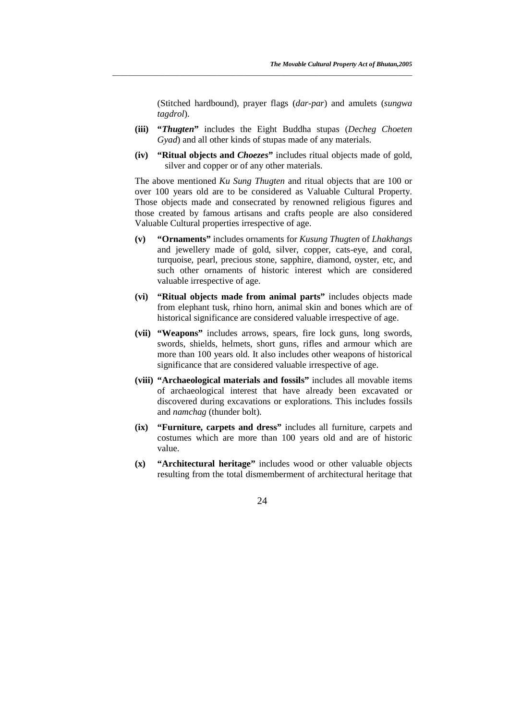(Stitched hardbound), prayer flags (*dar-par*) and amulets (*sungwa tagdrol*).

**(iii) "***Thugten***"** includes the Eight Buddha stupas (*Decheg Choeten Gyad*) and all other kinds of stupas made of any materials.

*\_\_\_\_\_\_\_\_\_\_\_\_\_\_\_\_\_\_\_\_\_\_\_\_\_\_\_\_\_\_\_\_\_\_\_\_\_\_\_\_\_\_\_\_\_\_\_\_\_\_\_\_\_\_\_\_\_\_\_\_\_\_\_\_\_\_\_\_\_\_\_\_\_\_\_\_\_\_\_\_*

**(iv) "Ritual objects and** *Choezes***"** includes ritual objects made of gold, silver and copper or of any other materials.

The above mentioned *Ku Sung Thugten* and ritual objects that are 100 or over 100 years old are to be considered as Valuable Cultural Property. Those objects made and consecrated by renowned religious figures and those created by famous artisans and crafts people are also considered Valuable Cultural properties irrespective of age.

- **(v) "Ornaments"** includes ornaments for *Kusung Thugten* of *Lhakhangs* and jewellery made of gold, silver, copper, cats-eye, and coral, turquoise, pearl, precious stone, sapphire, diamond, oyster, etc, and such other ornaments of historic interest which are considered valuable irrespective of age.
- **(vi) "Ritual objects made from animal parts"** includes objects made from elephant tusk, rhino horn, animal skin and bones which are of historical significance are considered valuable irrespective of age.
- **(vii) "Weapons"** includes arrows, spears, fire lock guns, long swords, swords, shields, helmets, short guns, rifles and armour which are more than 100 years old. It also includes other weapons of historical significance that are considered valuable irrespective of age.
- **(viii) "Archaeological materials and fossils"** includes all movable items of archaeological interest that have already been excavated or discovered during excavations or explorations. This includes fossils and *namchag* (thunder bolt).
- **(ix) "Furniture, carpets and dress"** includes all furniture, carpets and costumes which are more than 100 years old and are of historic value.
- **(x) "Architectural heritage"** includes wood or other valuable objects resulting from the total dismemberment of architectural heritage that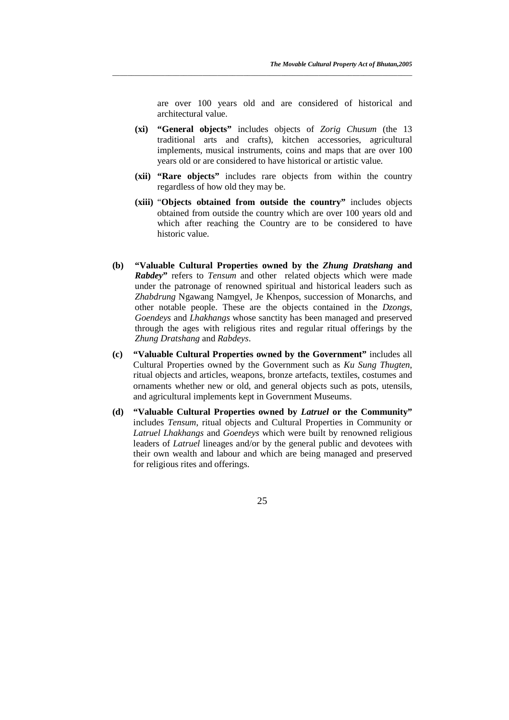are over 100 years old and are considered of historical and architectural value.

**(xi) "General objects"** includes objects of *Zorig Chusum* (the 13 traditional arts and crafts), kitchen accessories, agricultural implements, musical instruments, coins and maps that are over 100 years old or are considered to have historical or artistic value.

*\_\_\_\_\_\_\_\_\_\_\_\_\_\_\_\_\_\_\_\_\_\_\_\_\_\_\_\_\_\_\_\_\_\_\_\_\_\_\_\_\_\_\_\_\_\_\_\_\_\_\_\_\_\_\_\_\_\_\_\_\_\_\_\_\_\_\_\_\_\_\_\_\_\_\_\_\_\_\_\_*

- **(xii) "Rare objects"** includes rare objects from within the country regardless of how old they may be.
- **(xiii)** "**Objects obtained from outside the country"** includes objects obtained from outside the country which are over 100 years old and which after reaching the Country are to be considered to have historic value.
- **(b) "Valuable Cultural Properties owned by the** *Zhung Dratshang* **and**  *Rabdey***"** refers to *Tensum* and other related objects which were made under the patronage of renowned spiritual and historical leaders such as *Zhabdrung* Ngawang Namgyel, Je Khenpos, succession of Monarchs, and other notable people. These are the objects contained in the *Dzongs, Goendeys* and *Lhakhangs* whose sanctity has been managed and preserved through the ages with religious rites and regular ritual offerings by the *Zhung Dratshang* and *Rabdeys*.
- **(c) "Valuable Cultural Properties owned by the Government"** includes all Cultural Properties owned by the Government such as *Ku Sung Thugten*, ritual objects and articles, weapons, bronze artefacts, textiles, costumes and ornaments whether new or old, and general objects such as pots, utensils, and agricultural implements kept in Government Museums.
- **(d) "Valuable Cultural Properties owned by** *Latruel* **or the Community"** includes *Tensum*, ritual objects and Cultural Properties in Community or *Latruel Lhakhangs* and *Goendeys* which were built by renowned religious leaders of *Latruel* lineages and/or by the general public and devotees with their own wealth and labour and which are being managed and preserved for religious rites and offerings.